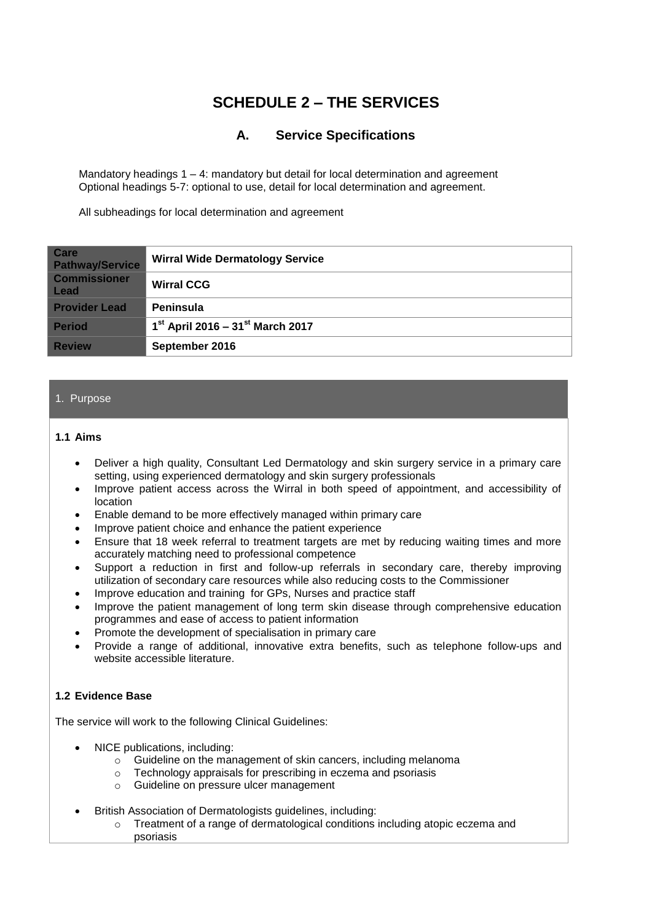# **SCHEDULE 2 – THE SERVICES**

## **A. Service Specifications**

Mandatory headings  $1 - 4$ : mandatory but detail for local determination and agreement Optional headings 5-7: optional to use, detail for local determination and agreement.

All subheadings for local determination and agreement

| <b>Care</b><br><b>Pathway/Service</b> | <b>Wirral Wide Dermatology Service</b> |
|---------------------------------------|----------------------------------------|
| <b>Commissioner</b><br><b>Lead</b>    | <b>Wirral CCG</b>                      |
| <b>Provider Lead</b>                  | Peninsula                              |
| <b>Period</b>                         | $1^{st}$ April 2016 – 31st March 2017  |
| <b>Review</b>                         | September 2016                         |

#### 1. Purpose

#### **1.1 Aims**

- Deliver a high quality, Consultant Led Dermatology and skin surgery service in a primary care setting, using experienced dermatology and skin surgery professionals
- Improve patient access across the Wirral in both speed of appointment, and accessibility of location
- Enable demand to be more effectively managed within primary care
- Improve patient choice and enhance the patient experience
- Ensure that 18 week referral to treatment targets are met by reducing waiting times and more accurately matching need to professional competence
- Support a reduction in first and follow-up referrals in secondary care, thereby improving utilization of secondary care resources while also reducing costs to the Commissioner
- Improve education and training for GPs, Nurses and practice staff
- Improve the patient management of long term skin disease through comprehensive education programmes and ease of access to patient information
- Promote the development of specialisation in primary care
- Provide a range of additional, innovative extra benefits, such as telephone follow-ups and website accessible literature.

## **1.2 Evidence Base**

The service will work to the following Clinical Guidelines:

- NICE publications, including:
	- $\circ$  Guideline on the management of skin cancers, including melanoma
	- o Technology appraisals for prescribing in eczema and psoriasis
	- o Guideline on pressure ulcer management
- British Association of Dermatologists guidelines, including:
	- $\circ$  Treatment of a range of dermatological conditions including atopic eczema and psoriasis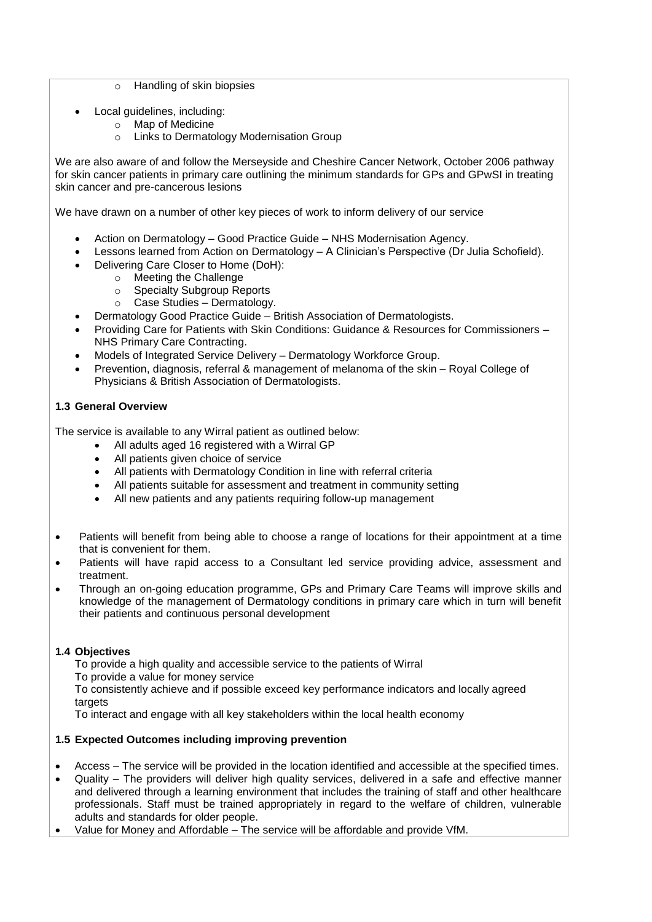- o Handling of skin biopsies
- Local guidelines, including:
	- o Map of Medicine
		- o Links to Dermatology Modernisation Group

We are also aware of and follow the Merseyside and Cheshire Cancer Network, October 2006 pathway for skin cancer patients in primary care outlining the minimum standards for GPs and GPwSI in treating skin cancer and pre-cancerous lesions

We have drawn on a number of other key pieces of work to inform delivery of our service

- Action on Dermatology Good Practice Guide NHS Modernisation Agency.
- Lessons learned from Action on Dermatology A Clinician's Perspective (Dr Julia Schofield).
- Delivering Care Closer to Home (DoH):
	- o Meeting the Challenge
	- o Specialty Subgroup Reports
	- o Case Studies Dermatology.
- Dermatology Good Practice Guide British Association of Dermatologists.
- Providing Care for Patients with Skin Conditions: Guidance & Resources for Commissioners NHS Primary Care Contracting.
- Models of Integrated Service Delivery Dermatology Workforce Group.
- Prevention, diagnosis, referral & management of melanoma of the skin Royal College of Physicians & British Association of Dermatologists.

## **1.3 General Overview**

The service is available to any Wirral patient as outlined below:

- All adults aged 16 registered with a Wirral GP
- All patients given choice of service
- All patients with Dermatology Condition in line with referral criteria
- All patients suitable for assessment and treatment in community setting
- All new patients and any patients requiring follow-up management
- Patients will benefit from being able to choose a range of locations for their appointment at a time that is convenient for them.
- Patients will have rapid access to a Consultant led service providing advice, assessment and treatment.
- Through an on-going education programme, GPs and Primary Care Teams will improve skills and knowledge of the management of Dermatology conditions in primary care which in turn will benefit their patients and continuous personal development

## **1.4 Objectives**

To provide a high quality and accessible service to the patients of Wirral To provide a value for money service To consistently achieve and if possible exceed key performance indicators and locally agreed targets To interact and engage with all key stakeholders within the local health economy

## **1.5 Expected Outcomes including improving prevention**

- Access The service will be provided in the location identified and accessible at the specified times.
- Quality The providers will deliver high quality services, delivered in a safe and effective manner and delivered through a learning environment that includes the training of staff and other healthcare professionals. Staff must be trained appropriately in regard to the welfare of children, vulnerable adults and standards for older people.
- Value for Money and Affordable The service will be affordable and provide VfM.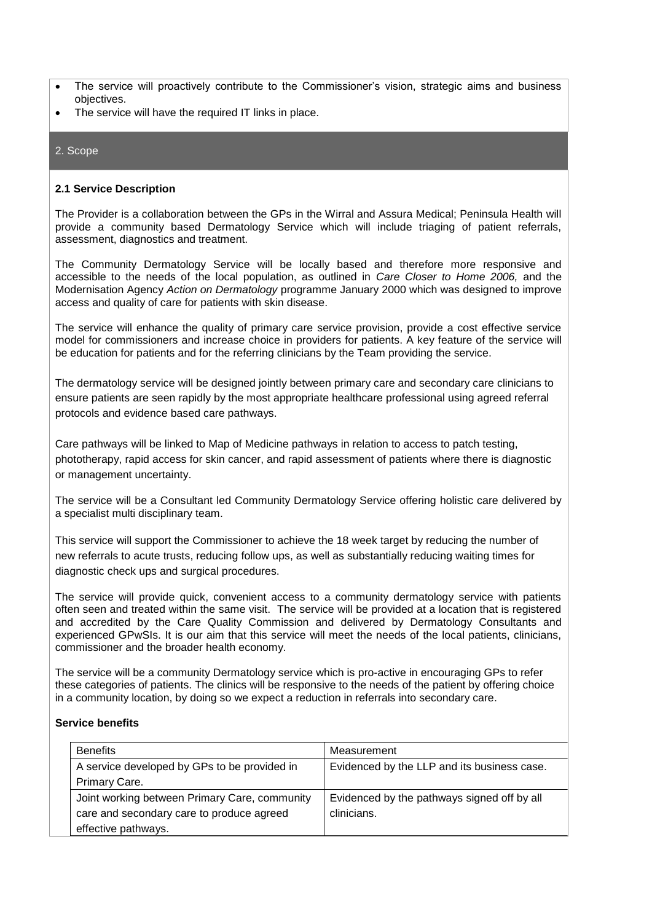- The service will proactively contribute to the Commissioner's vision, strategic aims and business objectives.
- The service will have the required IT links in place.

#### 2. Scope

#### **2.1 Service Description**

The Provider is a collaboration between the GPs in the Wirral and Assura Medical; Peninsula Health will provide a community based Dermatology Service which will include triaging of patient referrals, assessment, diagnostics and treatment.

The Community Dermatology Service will be locally based and therefore more responsive and accessible to the needs of the local population, as outlined in *Care Closer to Home 2006,* and the Modernisation Agency *Action on Dermatology* programme January 2000 which was designed to improve access and quality of care for patients with skin disease.

The service will enhance the quality of primary care service provision, provide a cost effective service model for commissioners and increase choice in providers for patients. A key feature of the service will be education for patients and for the referring clinicians by the Team providing the service.

The dermatology service will be designed jointly between primary care and secondary care clinicians to ensure patients are seen rapidly by the most appropriate healthcare professional using agreed referral protocols and evidence based care pathways.

Care pathways will be linked to Map of Medicine pathways in relation to access to patch testing, phototherapy, rapid access for skin cancer, and rapid assessment of patients where there is diagnostic or management uncertainty.

The service will be a Consultant led Community Dermatology Service offering holistic care delivered by a specialist multi disciplinary team.

This service will support the Commissioner to achieve the 18 week target by reducing the number of new referrals to acute trusts, reducing follow ups, as well as substantially reducing waiting times for diagnostic check ups and surgical procedures.

The service will provide quick, convenient access to a community dermatology service with patients often seen and treated within the same visit. The service will be provided at a location that is registered and accredited by the Care Quality Commission and delivered by Dermatology Consultants and experienced GPwSIs. It is our aim that this service will meet the needs of the local patients, clinicians, commissioner and the broader health economy.

The service will be a community Dermatology service which is pro-active in encouraging GPs to refer these categories of patients. The clinics will be responsive to the needs of the patient by offering choice in a community location, by doing so we expect a reduction in referrals into secondary care.

#### **Service benefits**

| <b>Benefits</b>                               | Measurement                                 |  |
|-----------------------------------------------|---------------------------------------------|--|
| A service developed by GPs to be provided in  | Evidenced by the LLP and its business case. |  |
| Primary Care.                                 |                                             |  |
| Joint working between Primary Care, community | Evidenced by the pathways signed off by all |  |
| care and secondary care to produce agreed     | clinicians.                                 |  |
| effective pathways.                           |                                             |  |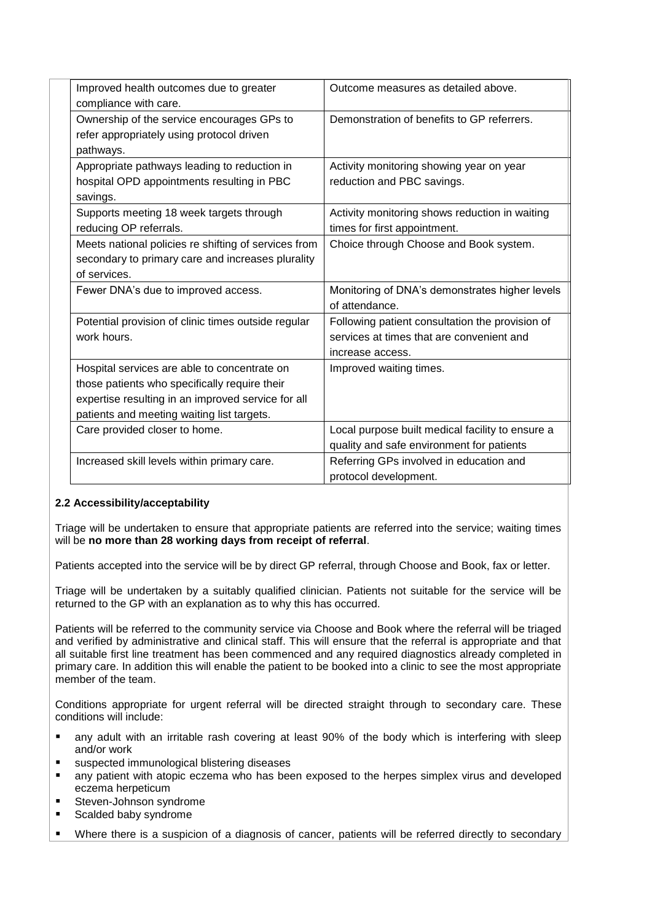| Improved health outcomes due to greater<br>compliance with care.                                                                                                                                  | Outcome measures as detailed above.                                                                              |  |
|---------------------------------------------------------------------------------------------------------------------------------------------------------------------------------------------------|------------------------------------------------------------------------------------------------------------------|--|
| Ownership of the service encourages GPs to<br>refer appropriately using protocol driven<br>pathways.                                                                                              | Demonstration of benefits to GP referrers.                                                                       |  |
| Appropriate pathways leading to reduction in<br>hospital OPD appointments resulting in PBC<br>savings.                                                                                            | Activity monitoring showing year on year<br>reduction and PBC savings.                                           |  |
| Supports meeting 18 week targets through<br>reducing OP referrals.                                                                                                                                | Activity monitoring shows reduction in waiting<br>times for first appointment.                                   |  |
| Meets national policies re shifting of services from<br>secondary to primary care and increases plurality<br>of services.                                                                         | Choice through Choose and Book system.                                                                           |  |
| Fewer DNA's due to improved access.                                                                                                                                                               | Monitoring of DNA's demonstrates higher levels<br>of attendance.                                                 |  |
| Potential provision of clinic times outside regular<br>work hours.                                                                                                                                | Following patient consultation the provision of<br>services at times that are convenient and<br>increase access. |  |
| Hospital services are able to concentrate on<br>those patients who specifically require their<br>expertise resulting in an improved service for all<br>patients and meeting waiting list targets. | Improved waiting times.                                                                                          |  |
| Care provided closer to home.                                                                                                                                                                     | Local purpose built medical facility to ensure a<br>quality and safe environment for patients                    |  |
| Increased skill levels within primary care.                                                                                                                                                       | Referring GPs involved in education and<br>protocol development.                                                 |  |

## **2.2 Accessibility/acceptability**

Triage will be undertaken to ensure that appropriate patients are referred into the service; waiting times will be **no more than 28 working days from receipt of referral**.

Patients accepted into the service will be by direct GP referral, through Choose and Book, fax or letter.

Triage will be undertaken by a suitably qualified clinician. Patients not suitable for the service will be returned to the GP with an explanation as to why this has occurred.

Patients will be referred to the community service via Choose and Book where the referral will be triaged and verified by administrative and clinical staff. This will ensure that the referral is appropriate and that all suitable first line treatment has been commenced and any required diagnostics already completed in primary care. In addition this will enable the patient to be booked into a clinic to see the most appropriate member of the team.

Conditions appropriate for urgent referral will be directed straight through to secondary care. These conditions will include:

- **a** any adult with an irritable rash covering at least 90% of the body which is interfering with sleep and/or work
- suspected immunological blistering diseases
- **n** any patient with atopic eczema who has been exposed to the herpes simplex virus and developed eczema herpeticum
- **Steven-Johnson syndrome**
- Scalded baby syndrome
- Where there is a suspicion of a diagnosis of cancer, patients will be referred directly to secondary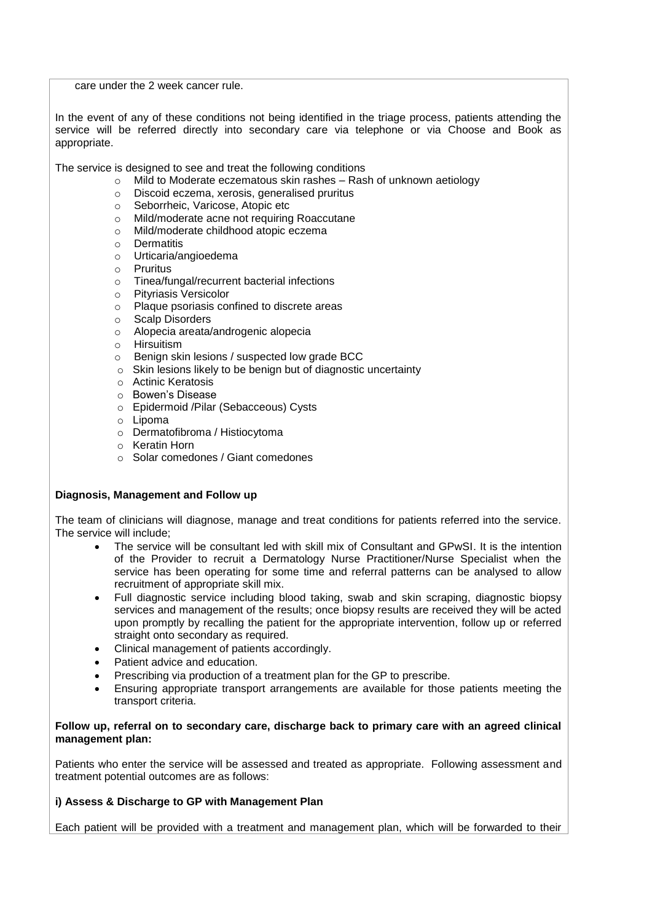care under the 2 week cancer rule.

In the event of any of these conditions not being identified in the triage process, patients attending the service will be referred directly into secondary care via telephone or via Choose and Book as appropriate.

The service is designed to see and treat the following conditions

- o Mild to Moderate eczematous skin rashes Rash of unknown aetiology
- o Discoid eczema, xerosis, generalised pruritus
- o Seborrheic, Varicose, Atopic etc
- o Mild/moderate acne not requiring Roaccutane
- o Mild/moderate childhood atopic eczema
- o Dermatitis
- o Urticaria/angioedema
- o Pruritus
- o Tinea/fungal/recurrent bacterial infections<br>
o Pityriasis Versicolor
- 
- o Pityriasis Versicolor<br>
o Plaque psoriasis cor Plaque psoriasis confined to discrete areas
- o Scalp Disorders
- o Alopecia areata/androgenic alopecia
- o Hirsuitism
- o Benign skin lesions / suspected low grade BCC
- o Skin lesions likely to be benign but of diagnostic uncertainty
- o Actinic Keratosis
- o Bowen's Disease
- o Epidermoid /Pilar (Sebacceous) Cysts
- o Lipoma
- o Dermatofibroma / Histiocytoma
- o Keratin Horn
- o Solar comedones / Giant comedones

## **Diagnosis, Management and Follow up**

The team of clinicians will diagnose, manage and treat conditions for patients referred into the service. The service will include;

- The service will be consultant led with skill mix of Consultant and GPwSI. It is the intention of the Provider to recruit a Dermatology Nurse Practitioner/Nurse Specialist when the service has been operating for some time and referral patterns can be analysed to allow recruitment of appropriate skill mix.
- Full diagnostic service including blood taking, swab and skin scraping, diagnostic biopsy services and management of the results; once biopsy results are received they will be acted upon promptly by recalling the patient for the appropriate intervention, follow up or referred straight onto secondary as required.
- Clinical management of patients accordingly.
- Patient advice and education.
- Prescribing via production of a treatment plan for the GP to prescribe.
- Ensuring appropriate transport arrangements are available for those patients meeting the transport criteria.

## **Follow up, referral on to secondary care, discharge back to primary care with an agreed clinical management plan:**

Patients who enter the service will be assessed and treated as appropriate. Following assessment and treatment potential outcomes are as follows:

## **i) Assess & Discharge to GP with Management Plan**

Each patient will be provided with a treatment and management plan, which will be forwarded to their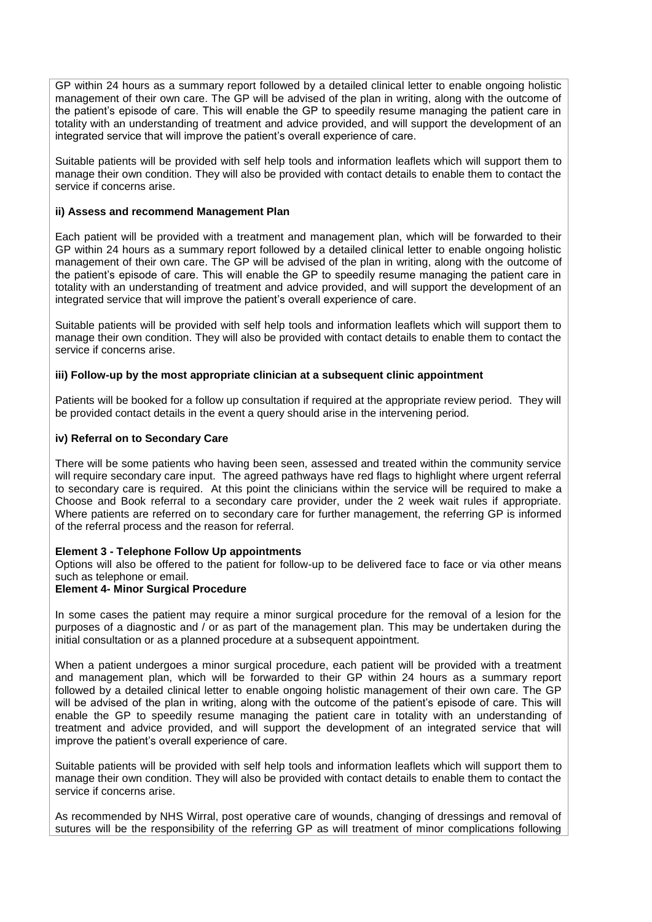GP within 24 hours as a summary report followed by a detailed clinical letter to enable ongoing holistic management of their own care. The GP will be advised of the plan in writing, along with the outcome of the patient's episode of care. This will enable the GP to speedily resume managing the patient care in totality with an understanding of treatment and advice provided, and will support the development of an integrated service that will improve the patient's overall experience of care.

Suitable patients will be provided with self help tools and information leaflets which will support them to manage their own condition. They will also be provided with contact details to enable them to contact the service if concerns arise.

#### **ii) Assess and recommend Management Plan**

Each patient will be provided with a treatment and management plan, which will be forwarded to their GP within 24 hours as a summary report followed by a detailed clinical letter to enable ongoing holistic management of their own care. The GP will be advised of the plan in writing, along with the outcome of the patient's episode of care. This will enable the GP to speedily resume managing the patient care in totality with an understanding of treatment and advice provided, and will support the development of an integrated service that will improve the patient's overall experience of care.

Suitable patients will be provided with self help tools and information leaflets which will support them to manage their own condition. They will also be provided with contact details to enable them to contact the service if concerns arise.

#### **iii) Follow-up by the most appropriate clinician at a subsequent clinic appointment**

Patients will be booked for a follow up consultation if required at the appropriate review period. They will be provided contact details in the event a query should arise in the intervening period.

#### **iv) Referral on to Secondary Care**

There will be some patients who having been seen, assessed and treated within the community service will require secondary care input. The agreed pathways have red flags to highlight where urgent referral to secondary care is required. At this point the clinicians within the service will be required to make a Choose and Book referral to a secondary care provider, under the 2 week wait rules if appropriate. Where patients are referred on to secondary care for further management, the referring GP is informed of the referral process and the reason for referral.

#### **Element 3 - Telephone Follow Up appointments**

Options will also be offered to the patient for follow-up to be delivered face to face or via other means such as telephone or email.

#### **Element 4- Minor Surgical Procedure**

In some cases the patient may require a minor surgical procedure for the removal of a lesion for the purposes of a diagnostic and / or as part of the management plan. This may be undertaken during the initial consultation or as a planned procedure at a subsequent appointment.

When a patient undergoes a minor surgical procedure, each patient will be provided with a treatment and management plan, which will be forwarded to their GP within 24 hours as a summary report followed by a detailed clinical letter to enable ongoing holistic management of their own care. The GP will be advised of the plan in writing, along with the outcome of the patient's episode of care. This will enable the GP to speedily resume managing the patient care in totality with an understanding of treatment and advice provided, and will support the development of an integrated service that will improve the patient's overall experience of care.

Suitable patients will be provided with self help tools and information leaflets which will support them to manage their own condition. They will also be provided with contact details to enable them to contact the service if concerns arise.

As recommended by NHS Wirral, post operative care of wounds, changing of dressings and removal of sutures will be the responsibility of the referring GP as will treatment of minor complications following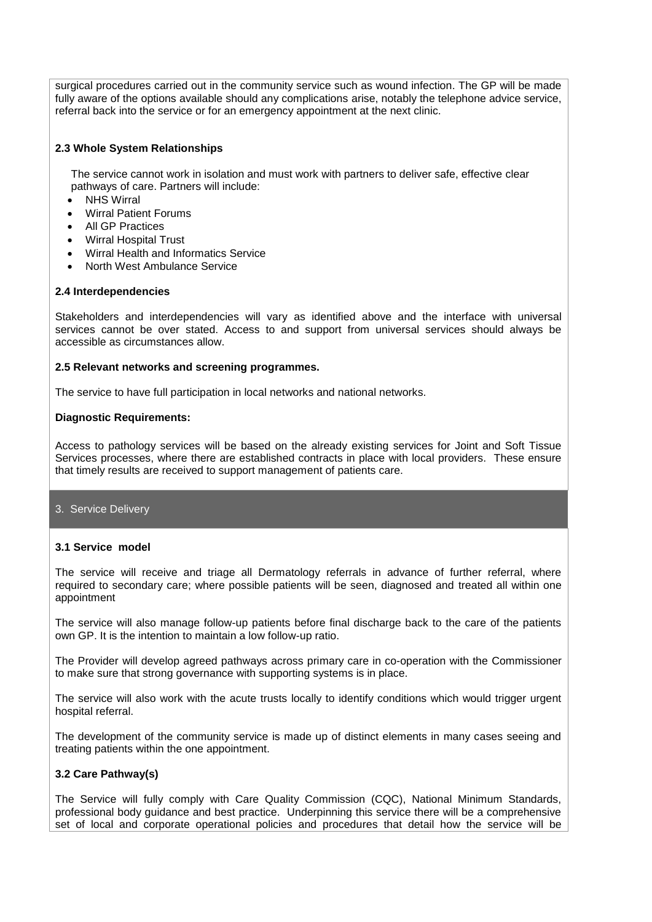surgical procedures carried out in the community service such as wound infection. The GP will be made fully aware of the options available should any complications arise, notably the telephone advice service, referral back into the service or for an emergency appointment at the next clinic.

#### **2.3 Whole System Relationships**

The service cannot work in isolation and must work with partners to deliver safe, effective clear pathways of care. Partners will include:

- NHS Wirral
- Wirral Patient Forums
- **All GP Practices**
- Wirral Hospital Trust
- Wirral Health and Informatics Service
- North West Ambulance Service

#### **2.4 Interdependencies**

Stakeholders and interdependencies will vary as identified above and the interface with universal services cannot be over stated. Access to and support from universal services should always be accessible as circumstances allow.

#### **2.5 Relevant networks and screening programmes.**

The service to have full participation in local networks and national networks.

#### **Diagnostic Requirements:**

Access to pathology services will be based on the already existing services for Joint and Soft Tissue Services processes, where there are established contracts in place with local providers. These ensure that timely results are received to support management of patients care.

## 3. Service Delivery

## **3.1 Service model**

The service will receive and triage all Dermatology referrals in advance of further referral, where required to secondary care; where possible patients will be seen, diagnosed and treated all within one appointment

The service will also manage follow-up patients before final discharge back to the care of the patients own GP. It is the intention to maintain a low follow-up ratio.

The Provider will develop agreed pathways across primary care in co-operation with the Commissioner to make sure that strong governance with supporting systems is in place.

The service will also work with the acute trusts locally to identify conditions which would trigger urgent hospital referral.

The development of the community service is made up of distinct elements in many cases seeing and treating patients within the one appointment.

## **3.2 Care Pathway(s)**

The Service will fully comply with Care Quality Commission (CQC), National Minimum Standards, professional body guidance and best practice. Underpinning this service there will be a comprehensive set of local and corporate operational policies and procedures that detail how the service will be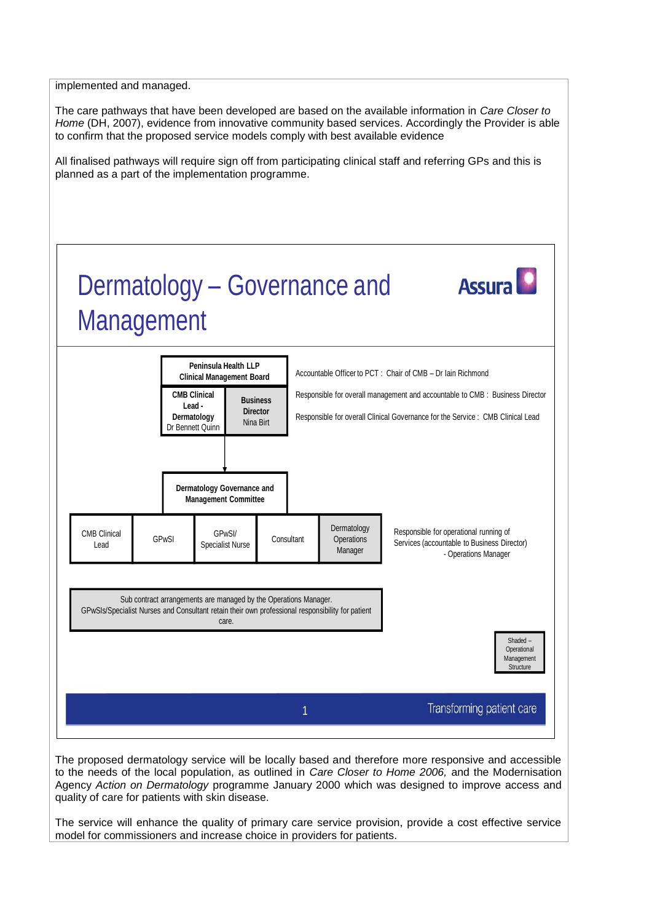implemented and managed.

The care pathways that have been developed are based on the available information in *Care Closer to Home* (DH, 2007), evidence from innovative community based services. Accordingly the Provider is able to confirm that the proposed service models comply with best available evidence

All finalised pathways will require sign off from participating clinical staff and referring GPs and this is planned as a part of the implementation programme.



The proposed dermatology service will be locally based and therefore more responsive and accessible to the needs of the local population, as outlined in *Care Closer to Home 2006,* and the Modernisation Agency *Action on Dermatology* programme January 2000 which was designed to improve access and quality of care for patients with skin disease.

The service will enhance the quality of primary care service provision, provide a cost effective service model for commissioners and increase choice in providers for patients.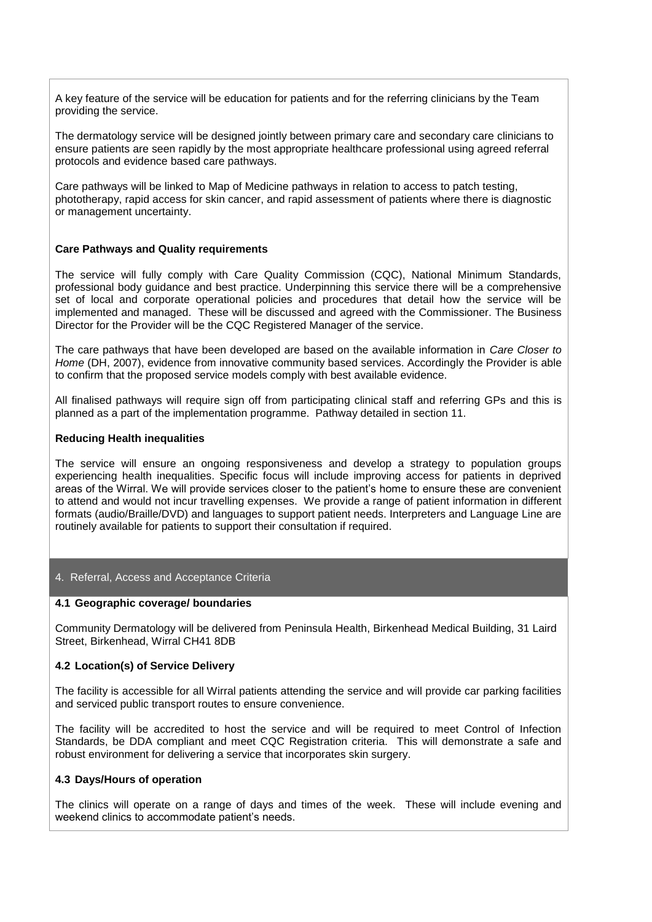A key feature of the service will be education for patients and for the referring clinicians by the Team providing the service.

The dermatology service will be designed jointly between primary care and secondary care clinicians to ensure patients are seen rapidly by the most appropriate healthcare professional using agreed referral protocols and evidence based care pathways.

Care pathways will be linked to Map of Medicine pathways in relation to access to patch testing, phototherapy, rapid access for skin cancer, and rapid assessment of patients where there is diagnostic or management uncertainty.

#### **Care Pathways and Quality requirements**

The service will fully comply with Care Quality Commission (CQC), National Minimum Standards, professional body guidance and best practice. Underpinning this service there will be a comprehensive set of local and corporate operational policies and procedures that detail how the service will be implemented and managed. These will be discussed and agreed with the Commissioner. The Business Director for the Provider will be the CQC Registered Manager of the service.

The care pathways that have been developed are based on the available information in *Care Closer to Home* (DH, 2007), evidence from innovative community based services. Accordingly the Provider is able to confirm that the proposed service models comply with best available evidence.

All finalised pathways will require sign off from participating clinical staff and referring GPs and this is planned as a part of the implementation programme. Pathway detailed in section 11.

#### **Reducing Health inequalities**

The service will ensure an ongoing responsiveness and develop a strategy to population groups experiencing health inequalities. Specific focus will include improving access for patients in deprived areas of the Wirral. We will provide services closer to the patient's home to ensure these are convenient to attend and would not incur travelling expenses. We provide a range of patient information in different formats (audio/Braille/DVD) and languages to support patient needs. Interpreters and Language Line are routinely available for patients to support their consultation if required.

#### 4. Referral, Access and Acceptance Criteria

#### **4.1 Geographic coverage/ boundaries**

Community Dermatology will be delivered from Peninsula Health, Birkenhead Medical Building, 31 Laird Street, Birkenhead, Wirral CH41 8DB

#### **4.2 Location(s) of Service Delivery**

The facility is accessible for all Wirral patients attending the service and will provide car parking facilities and serviced public transport routes to ensure convenience.

The facility will be accredited to host the service and will be required to meet Control of Infection Standards, be DDA compliant and meet CQC Registration criteria. This will demonstrate a safe and robust environment for delivering a service that incorporates skin surgery.

#### **4.3 Days/Hours of operation**

The clinics will operate on a range of days and times of the week. These will include evening and weekend clinics to accommodate patient's needs.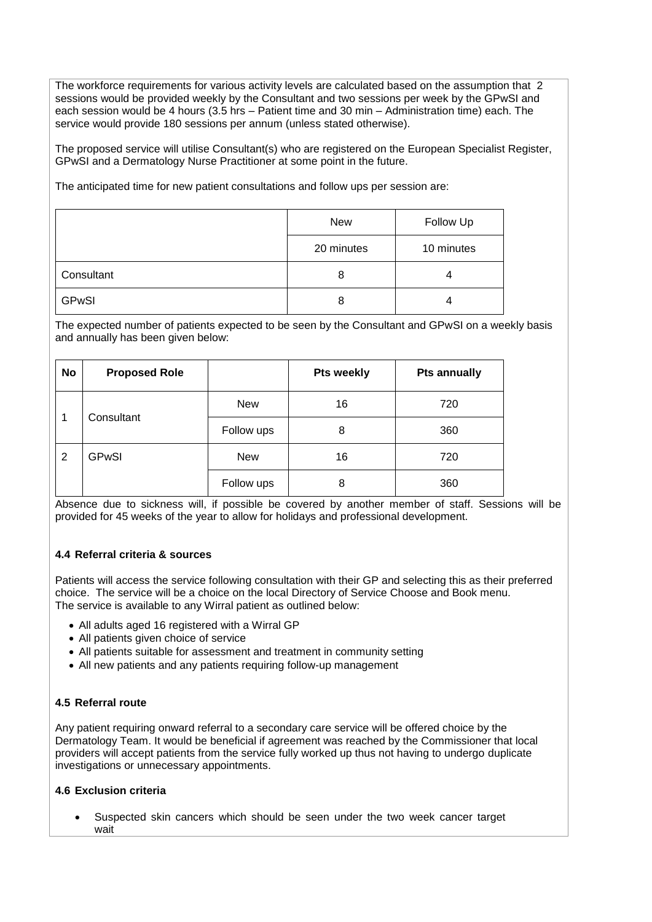The workforce requirements for various activity levels are calculated based on the assumption that 2 sessions would be provided weekly by the Consultant and two sessions per week by the GPwSI and each session would be 4 hours (3.5 hrs – Patient time and 30 min – Administration time) each. The service would provide 180 sessions per annum (unless stated otherwise).

The proposed service will utilise Consultant(s) who are registered on the European Specialist Register, GPwSI and a Dermatology Nurse Practitioner at some point in the future.

The anticipated time for new patient consultations and follow ups per session are:

|              | <b>New</b> | Follow Up  |
|--------------|------------|------------|
|              | 20 minutes | 10 minutes |
| Consultant   | 8          | 4          |
| <b>GPwSI</b> | 8          | 4          |

The expected number of patients expected to be seen by the Consultant and GPwSI on a weekly basis and annually has been given below:

| No              | <b>Proposed Role</b> |            | <b>Pts weekly</b> | <b>Pts annually</b> |
|-----------------|----------------------|------------|-------------------|---------------------|
| Consultant<br>1 |                      | <b>New</b> | 16                | 720                 |
|                 |                      | Follow ups | 8                 | 360                 |
| 2               | <b>GPwSI</b>         | <b>New</b> | 16                | 720                 |
|                 |                      | Follow ups | 8                 | 360                 |

Absence due to sickness will, if possible be covered by another member of staff. Sessions will be provided for 45 weeks of the year to allow for holidays and professional development.

## **4.4 Referral criteria & sources**

Patients will access the service following consultation with their GP and selecting this as their preferred choice. The service will be a choice on the local Directory of Service Choose and Book menu. The service is available to any Wirral patient as outlined below:

- All adults aged 16 registered with a Wirral GP
- All patients given choice of service
- All patients suitable for assessment and treatment in community setting
- All new patients and any patients requiring follow-up management

## **4.5 Referral route**

Any patient requiring onward referral to a secondary care service will be offered choice by the Dermatology Team. It would be beneficial if agreement was reached by the Commissioner that local providers will accept patients from the service fully worked up thus not having to undergo duplicate investigations or unnecessary appointments.

## **4.6 Exclusion criteria**

 Suspected skin cancers which should be seen under the two week cancer target wait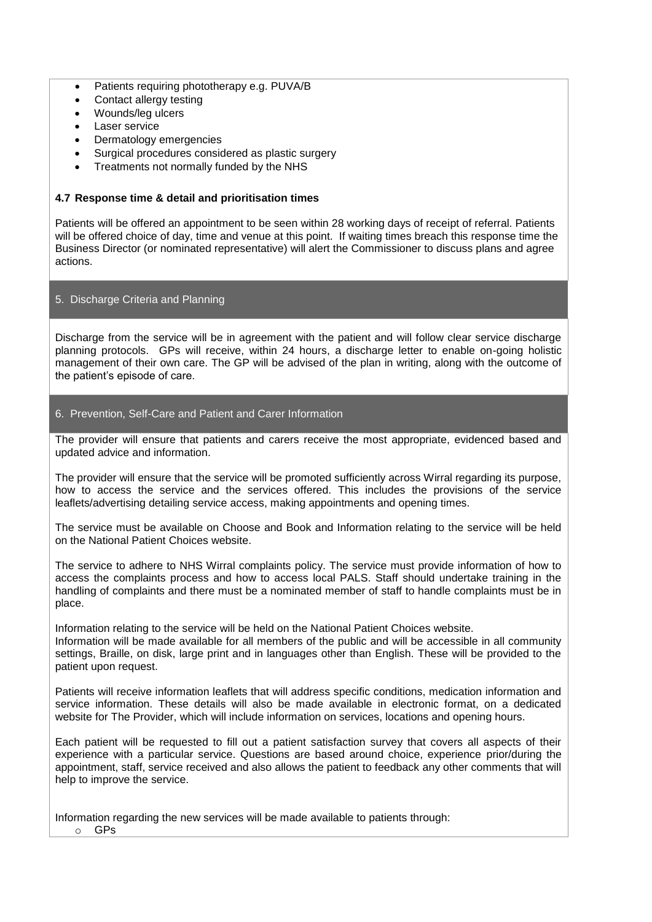- Patients requiring phototherapy e.g. PUVA/B
- Contact allergy testing
- Wounds/leg ulcers
- Laser service
- Dermatology emergencies
- Surgical procedures considered as plastic surgery
- Treatments not normally funded by the NHS

## **4.7 Response time & detail and prioritisation times**

Patients will be offered an appointment to be seen within 28 working days of receipt of referral. Patients will be offered choice of day, time and venue at this point. If waiting times breach this response time the Business Director (or nominated representative) will alert the Commissioner to discuss plans and agree actions.

## 5. Discharge Criteria and Planning

Discharge from the service will be in agreement with the patient and will follow clear service discharge planning protocols. GPs will receive, within 24 hours, a discharge letter to enable on-going holistic management of their own care. The GP will be advised of the plan in writing, along with the outcome of the patient's episode of care.

## 6. Prevention, Self-Care and Patient and Carer Information

The provider will ensure that patients and carers receive the most appropriate, evidenced based and updated advice and information.

The provider will ensure that the service will be promoted sufficiently across Wirral regarding its purpose, how to access the service and the services offered. This includes the provisions of the service leaflets/advertising detailing service access, making appointments and opening times.

The service must be available on Choose and Book and Information relating to the service will be held on the National Patient Choices website.

The service to adhere to NHS Wirral complaints policy. The service must provide information of how to access the complaints process and how to access local PALS. Staff should undertake training in the handling of complaints and there must be a nominated member of staff to handle complaints must be in place.

Information relating to the service will be held on the National Patient Choices website. Information will be made available for all members of the public and will be accessible in all community settings, Braille, on disk, large print and in languages other than English. These will be provided to the patient upon request.

Patients will receive information leaflets that will address specific conditions, medication information and service information. These details will also be made available in electronic format, on a dedicated website for The Provider, which will include information on services, locations and opening hours.

Each patient will be requested to fill out a patient satisfaction survey that covers all aspects of their experience with a particular service. Questions are based around choice, experience prior/during the appointment, staff, service received and also allows the patient to feedback any other comments that will help to improve the service.

Information regarding the new services will be made available to patients through:

o GPs